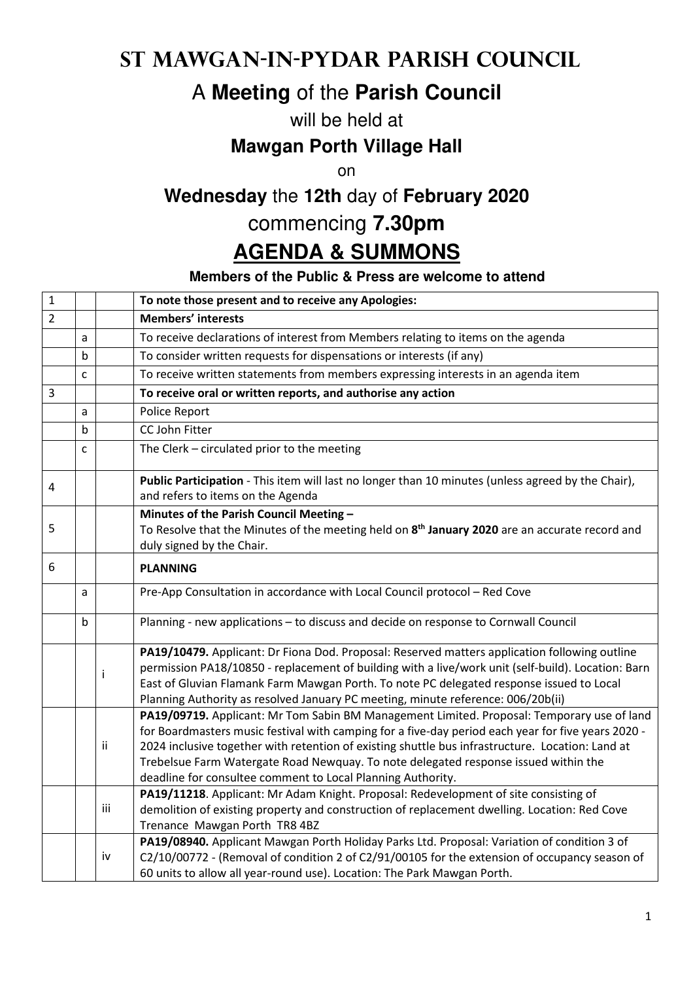### **St Mawgan-in-Pydar Parish Council**

# A **Meeting** of the **Parish Council**

#### will be held at

#### **Mawgan Porth Village Hall**

on

# **Wednesday** the **12th** day of **February 2020**

#### commencing **7.30pm**

# **AGENDA & SUMMONS**

#### **Members of the Public & Press are welcome to attend**

| $\mathbf 1$    |   |     | To note those present and to receive any Apologies:                                                                                                                                                                                                                                                                                                                                                                                                        |
|----------------|---|-----|------------------------------------------------------------------------------------------------------------------------------------------------------------------------------------------------------------------------------------------------------------------------------------------------------------------------------------------------------------------------------------------------------------------------------------------------------------|
| $\overline{2}$ |   |     | <b>Members' interests</b>                                                                                                                                                                                                                                                                                                                                                                                                                                  |
|                | a |     | To receive declarations of interest from Members relating to items on the agenda                                                                                                                                                                                                                                                                                                                                                                           |
|                | b |     | To consider written requests for dispensations or interests (if any)                                                                                                                                                                                                                                                                                                                                                                                       |
|                | C |     | To receive written statements from members expressing interests in an agenda item                                                                                                                                                                                                                                                                                                                                                                          |
| 3              |   |     | To receive oral or written reports, and authorise any action                                                                                                                                                                                                                                                                                                                                                                                               |
|                | a |     | Police Report                                                                                                                                                                                                                                                                                                                                                                                                                                              |
|                | b |     | CC John Fitter                                                                                                                                                                                                                                                                                                                                                                                                                                             |
|                | C |     | The Clerk - circulated prior to the meeting                                                                                                                                                                                                                                                                                                                                                                                                                |
| 4              |   |     | Public Participation - This item will last no longer than 10 minutes (unless agreed by the Chair),<br>and refers to items on the Agenda                                                                                                                                                                                                                                                                                                                    |
|                |   |     | Minutes of the Parish Council Meeting -                                                                                                                                                                                                                                                                                                                                                                                                                    |
| 5              |   |     | To Resolve that the Minutes of the meeting held on 8 <sup>th</sup> January 2020 are an accurate record and<br>duly signed by the Chair.                                                                                                                                                                                                                                                                                                                    |
| 6              |   |     | <b>PLANNING</b>                                                                                                                                                                                                                                                                                                                                                                                                                                            |
|                | a |     | Pre-App Consultation in accordance with Local Council protocol - Red Cove                                                                                                                                                                                                                                                                                                                                                                                  |
|                | b |     | Planning - new applications - to discuss and decide on response to Cornwall Council                                                                                                                                                                                                                                                                                                                                                                        |
|                |   | j   | PA19/10479. Applicant: Dr Fiona Dod. Proposal: Reserved matters application following outline<br>permission PA18/10850 - replacement of building with a live/work unit (self-build). Location: Barn<br>East of Gluvian Flamank Farm Mawgan Porth. To note PC delegated response issued to Local<br>Planning Authority as resolved January PC meeting, minute reference: 006/20b(ii)                                                                        |
|                |   | ii  | PA19/09719. Applicant: Mr Tom Sabin BM Management Limited. Proposal: Temporary use of land<br>for Boardmasters music festival with camping for a five-day period each year for five years 2020 -<br>2024 inclusive together with retention of existing shuttle bus infrastructure. Location: Land at<br>Trebelsue Farm Watergate Road Newquay. To note delegated response issued within the<br>deadline for consultee comment to Local Planning Authority. |
|                |   | iii | PA19/11218. Applicant: Mr Adam Knight. Proposal: Redevelopment of site consisting of<br>demolition of existing property and construction of replacement dwelling. Location: Red Cove<br>Trenance Mawgan Porth TR8 4BZ                                                                                                                                                                                                                                      |
|                |   | iv  | PA19/08940. Applicant Mawgan Porth Holiday Parks Ltd. Proposal: Variation of condition 3 of<br>C2/10/00772 - (Removal of condition 2 of C2/91/00105 for the extension of occupancy season of<br>60 units to allow all year-round use). Location: The Park Mawgan Porth.                                                                                                                                                                                    |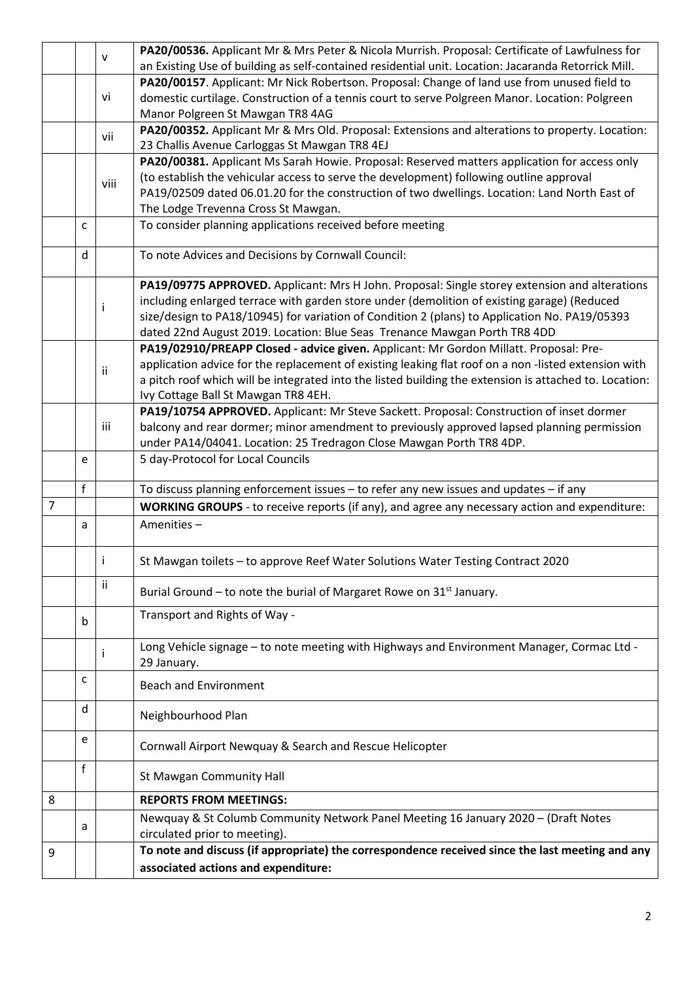|   |   | v    | PA20/00536. Applicant Mr & Mrs Peter & Nicola Murrish. Proposal: Certificate of Lawfulness for            |
|---|---|------|-----------------------------------------------------------------------------------------------------------|
|   |   |      | an Existing Use of building as self-contained residential unit. Location: Jacaranda Retorrick Mill.       |
|   |   |      | PA20/00157. Applicant: Mr Nick Robertson. Proposal: Change of land use from unused field to               |
|   |   | vi   | domestic curtilage. Construction of a tennis court to serve Polgreen Manor. Location: Polgreen            |
|   |   |      | Manor Polgreen St Mawgan TR8 4AG                                                                          |
|   |   | vii  | PA20/00352. Applicant Mr & Mrs Old. Proposal: Extensions and alterations to property. Location:           |
|   |   |      | 23 Challis Avenue Carloggas St Mawgan TR8 4EJ                                                             |
|   |   |      | PA20/00381. Applicant Ms Sarah Howie. Proposal: Reserved matters application for access only              |
|   |   | viii | (to establish the vehicular access to serve the development) following outline approval                   |
|   |   |      | PA19/02509 dated 06.01.20 for the construction of two dwellings. Location: Land North East of             |
|   |   |      | The Lodge Trevenna Cross St Mawgan.                                                                       |
|   | C |      | To consider planning applications received before meeting                                                 |
|   | d |      | To note Advices and Decisions by Cornwall Council:                                                        |
|   |   |      | PA19/09775 APPROVED. Applicant: Mrs H John. Proposal: Single storey extension and alterations             |
|   |   | i    | including enlarged terrace with garden store under (demolition of existing garage) (Reduced               |
|   |   |      | size/design to PA18/10945) for variation of Condition 2 (plans) to Application No. PA19/05393             |
|   |   |      | dated 22nd August 2019. Location: Blue Seas Trenance Mawgan Porth TR8 4DD                                 |
|   |   |      | PA19/02910/PREAPP Closed - advice given. Applicant: Mr Gordon Millatt. Proposal: Pre-                     |
|   |   | ii   | application advice for the replacement of existing leaking flat roof on a non-listed extension with       |
|   |   |      | a pitch roof which will be integrated into the listed building the extension is attached to. Location:    |
|   |   |      | Ivy Cottage Ball St Mawgan TR8 4EH.                                                                       |
|   |   |      | PA19/10754 APPROVED. Applicant: Mr Steve Sackett. Proposal: Construction of inset dormer                  |
|   |   | iii  | balcony and rear dormer; minor amendment to previously approved lapsed planning permission                |
|   |   |      | under PA14/04041. Location: 25 Tredragon Close Mawgan Porth TR8 4DP.                                      |
|   | e |      | 5 day-Protocol for Local Councils                                                                         |
|   | f |      | To discuss planning enforcement issues - to refer any new issues and updates - if any                     |
| 7 |   |      | WORKING GROUPS - to receive reports (if any), and agree any necessary action and expenditure:             |
|   | a |      | Amenities-                                                                                                |
|   |   |      |                                                                                                           |
|   |   | ÷    | St Mawgan toilets - to approve Reef Water Solutions Water Testing Contract 2020                           |
|   |   | ii   | Burial Ground – to note the burial of Margaret Rowe on 31 <sup>st</sup> January.                          |
|   | b |      | Transport and Rights of Way -                                                                             |
|   |   |      |                                                                                                           |
|   |   |      | Long Vehicle signage - to note meeting with Highways and Environment Manager, Cormac Ltd -<br>29 January. |
|   | C |      | <b>Beach and Environment</b>                                                                              |
|   | d |      | Neighbourhood Plan                                                                                        |
|   | e |      | Cornwall Airport Newquay & Search and Rescue Helicopter                                                   |
|   | f |      | St Mawgan Community Hall                                                                                  |
| 8 |   |      | <b>REPORTS FROM MEETINGS:</b>                                                                             |
|   |   |      | Newquay & St Columb Community Network Panel Meeting 16 January 2020 - (Draft Notes                        |
|   | a |      | circulated prior to meeting).                                                                             |
| 9 |   |      | To note and discuss (if appropriate) the correspondence received since the last meeting and any           |
|   |   |      | associated actions and expenditure:                                                                       |